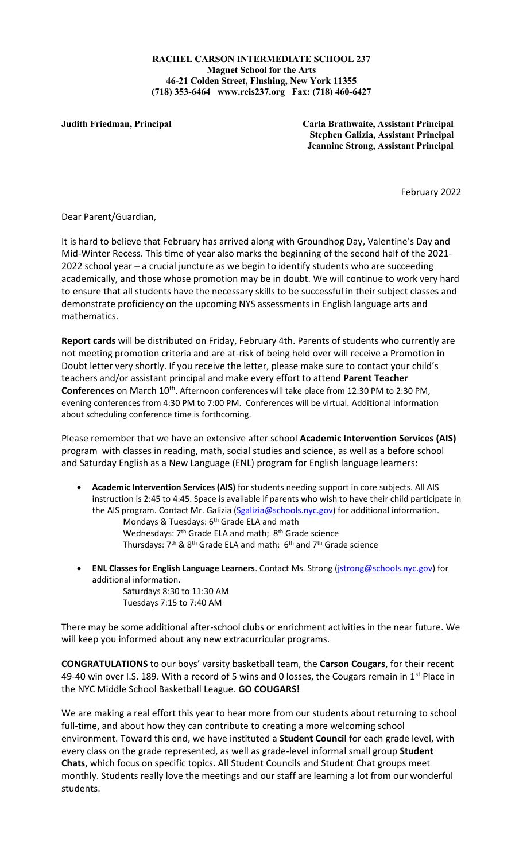**RACHEL CARSON INTERMEDIATE SCHOOL 237 Magnet School for the Arts 46-21 Colden Street, Flushing, New York 11355 (718) 353-6464 www.rcis237.org Fax: (718) 460-6427**

**Judith Friedman, Principal Carla Brathwaite, Assistant Principal Stephen Galizia, Assistant Principal Jeannine Strong, Assistant Principal**

February 2022

Dear Parent/Guardian,

It is hard to believe that February has arrived along with Groundhog Day, Valentine's Day and Mid-Winter Recess. This time of year also marks the beginning of the second half of the 2021- 2022 school year – a crucial juncture as we begin to identify students who are succeeding academically, and those whose promotion may be in doubt. We will continue to work very hard to ensure that all students have the necessary skills to be successful in their subject classes and demonstrate proficiency on the upcoming NYS assessments in English language arts and mathematics.

**Report cards** will be distributed on Friday, February 4th. Parents of students who currently are not meeting promotion criteria and are at-risk of being held over will receive a Promotion in Doubt letter very shortly. If you receive the letter, please make sure to contact your child's teachers and/or assistant principal and make every effort to attend **Parent Teacher**  Conferences on March 10<sup>th</sup>. Afternoon conferences will take place from 12:30 PM to 2:30 PM, evening conferences from 4:30 PM to 7:00 PM. Conferences will be virtual. Additional information about scheduling conference time is forthcoming.

Please remember that we have an extensive after school **Academic Intervention Services (AIS)** program with classes in reading, math, social studies and science, as well as a before school and Saturday English as a New Language (ENL) program for English language learners:

- **Academic Intervention Services (AIS)** for students needing support in core subjects. All AIS instruction is 2:45 to 4:45. Space is available if parents who wish to have their child participate in the AIS program. Contact Mr. Galizia [\(Sgalizia@schools.nyc.gov\)](mailto:Sgalizia@schools.nyc.gov) for additional information. Mondays & Tuesdays: 6<sup>th</sup> Grade ELA and math Wednesdays: 7<sup>th</sup> Grade ELA and math; 8<sup>th</sup> Grade science Thursdays:  $7<sup>th</sup>$  &  $8<sup>th</sup>$  Grade ELA and math;  $6<sup>th</sup>$  and  $7<sup>th</sup>$  Grade science
- **ENL Classes for English Language Learners**. Contact Ms. Strong [\(jstrong@schools.nyc.gov\)](mailto:jstrong@schools.nyc.gov) for additional information.

Saturdays 8:30 to 11:30 AM Tuesdays 7:15 to 7:40 AM

There may be some additional after-school clubs or enrichment activities in the near future. We will keep you informed about any new extracurricular programs.

**CONGRATULATIONS** to our boys' varsity basketball team, the **Carson Cougars**, for their recent 49-40 win over I.S. 189. With a record of 5 wins and 0 losses, the Cougars remain in  $1<sup>st</sup>$  Place in the NYC Middle School Basketball League. **GO COUGARS!**

We are making a real effort this year to hear more from our students about returning to school full-time, and about how they can contribute to creating a more welcoming school environment. Toward this end, we have instituted a **Student Council** for each grade level, with every class on the grade represented, as well as grade-level informal small group **Student Chats**, which focus on specific topics. All Student Councils and Student Chat groups meet monthly. Students really love the meetings and our staff are learning a lot from our wonderful students.